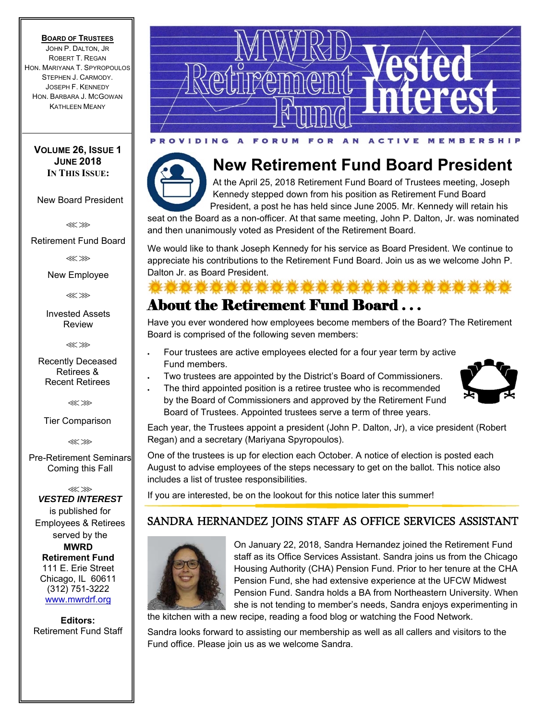#### **BOARD OF TRUSTEES**

JOHN P. DALTON, JR ROBERT T. REGAN HON. MARIYANA T. SPYROPOULOS STEPHEN J. CARMODY. JOSEPH F. KENNEDY HON. BARBARA J. MCGOWAN KATHLEEN MEANY

### **VOLUME 26, ISSUE 1 JUNE 2018 IN THIS ISSUE:**

New Board President

⋘⋙

Retirement Fund Board

⋘⋙

New Employee

⋘⋙

Invested Assets Review

⋘⋙

Recently Deceased Retirees & Recent Retirees

⋘⋙

Tier Comparison

⋘⋙

Pre-Retirement Seminars Coming this Fall

⋘⋙ *VESTED INTEREST* is published for Employees & Retirees served by the **MWRD Retirement Fund**  111 E. Erie Street Chicago, IL 60611 (312) 751-3222 www.mwrdrf.org

**Editors:**  Retirement Fund Staff





# **New Retirement Fund Board President**

At the April 25, 2018 Retirement Fund Board of Trustees meeting, Joseph Kennedy stepped down from his position as Retirement Fund Board President, a post he has held since June 2005. Mr. Kennedy will retain his

0.0.0.0.0.0.0.0.0.0.0.0

seat on the Board as a non-officer. At that same meeting, John P. Dalton, Jr. was nominated and then unanimously voted as President of the Retirement Board.

We would like to thank Joseph Kennedy for his service as Board President. We continue to appreciate his contributions to the Retirement Fund Board. Join us as we welcome John P. Dalton Jr. as Board President.

# About the Retirement Fund Board . . .

Have you ever wondered how employees become members of the Board? The Retirement Board is comprised of the following seven members:

- Four trustees are active employees elected for a four year term by active Fund members.
- Two trustees are appointed by the District's Board of Commissioners.
- The third appointed position is a retiree trustee who is recommended by the Board of Commissioners and approved by the Retirement Fund Board of Trustees. Appointed trustees serve a term of three years.



Each year, the Trustees appoint a president (John P. Dalton, Jr), a vice president (Robert Regan) and a secretary (Mariyana Spyropoulos).

One of the trustees is up for election each October. A notice of election is posted each August to advise employees of the steps necessary to get on the ballot. This notice also includes a list of trustee responsibilities.

If you are interested, be on the lookout for this notice later this summer!

# SANDRA HERNANDEZ JOINS STAFF AS OFFICE SERVICES ASSISTANT



On January 22, 2018, Sandra Hernandez joined the Retirement Fund staff as its Office Services Assistant. Sandra joins us from the Chicago Housing Authority (CHA) Pension Fund. Prior to her tenure at the CHA Pension Fund, she had extensive experience at the UFCW Midwest Pension Fund. Sandra holds a BA from Northeastern University. When she is not tending to member's needs, Sandra enjoys experimenting in

the kitchen with a new recipe, reading a food blog or watching the Food Network.

Sandra looks forward to assisting our membership as well as all callers and visitors to the Fund office. Please join us as we welcome Sandra.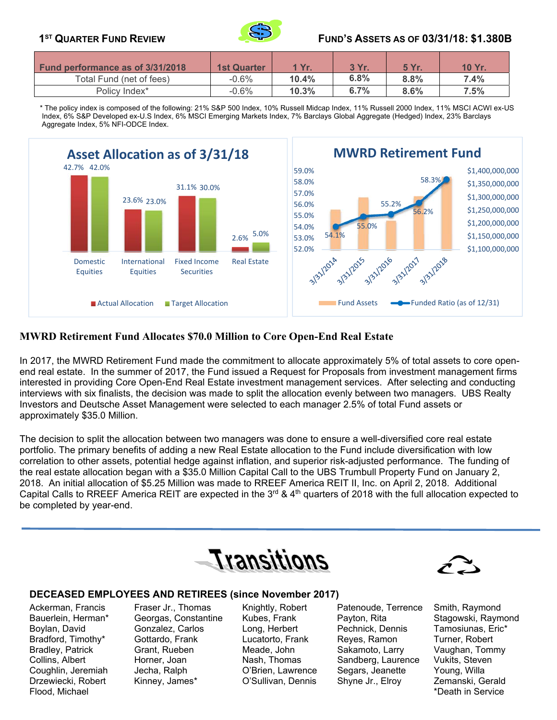

## **1ST QUARTER FUND REVIEW FUND'S ASSETS AS OF 03/31/18: \$1.380B**

| <b>Fund performance as of 3/31/2018</b> | <b>1st Quarter</b> | 1 Yr.    | 3 Yr. | <b>5 Yr</b> | 10 Yr. |
|-----------------------------------------|--------------------|----------|-------|-------------|--------|
| Total Fund (net of fees)                | $-0.6\%$           | $10.4\%$ | 6.8%  | 8.8%        | 7.4%   |
| Policy Index*                           | $-0.6%$            | 10.3%    | 6.7%  | 8.6%        | 7.5%   |

 \* The policy index is composed of the following: 21% S&P 500 Index, 10% Russell Midcap Index, 11% Russell 2000 Index, 11% MSCI ACWI ex-US Index, 6% S&P Developed ex-U.S Index, 6% MSCI Emerging Markets Index, 7% Barclays Global Aggregate (Hedged) Index, 23% Barclays Aggregate Index, 5% NFI-ODCE Index.



### **MWRD Retirement Fund Allocates \$70.0 Million to Core Open-End Real Estate**

In 2017, the MWRD Retirement Fund made the commitment to allocate approximately 5% of total assets to core openend real estate. In the summer of 2017, the Fund issued a Request for Proposals from investment management firms interested in providing Core Open-End Real Estate investment management services. After selecting and conducting interviews with six finalists, the decision was made to split the allocation evenly between two managers. UBS Realty Investors and Deutsche Asset Management were selected to each manager 2.5% of total Fund assets or approximately \$35.0 Million.

The decision to split the allocation between two managers was done to ensure a well-diversified core real estate portfolio. The primary benefits of adding a new Real Estate allocation to the Fund include diversification with low correlation to other assets, potential hedge against inflation, and superior risk-adjusted performance. The funding of the real estate allocation began with a \$35.0 Million Capital Call to the UBS Trumbull Property Fund on January 2, 2018. An initial allocation of \$5.25 Million was made to RREEF America REIT II, Inc. on April 2, 2018. Additional Capital Calls to RREEF America REIT are expected in the  $3<sup>rd</sup>$  & 4<sup>th</sup> quarters of 2018 with the full allocation expected to be completed by year-end.





### **DECEASED EMPLOYEES AND RETIREES (since November 2017)**

Flood, Michael \*Death in Service

j ľ

Ackerman, Francis Fraser Jr., Thomas Knightly, Robert Patenoude, Terrence Smith, Raymond Bauerlein, Herman\* Georgas, Constantine Kubes, Frank Payton, Rita Stagowski, Raymond Boylan, David Gonzalez, Carlos Long, Herbert Pechnick, Dennis Tamosiunas, Eric\* Bradford, Timothy\* Gottardo, Frank Lucatorto, Frank Reyes, Ramon Turner, Robert Bradley, Patrick **Grant, Rueben Meade, John Sakamoto, Larry** Vaughan, Tommy Collins, Albert Horner, Joan Nash, Thomas Sandberg, Laurence Vukits, Steven Coughlin, Jeremiah Jecha, Ralph O'Brien, Lawrence Segars, Jeanette Young, Willa Drzewiecki, Robert Kinney, James\* O'Sullivan, Dennis Shyne Jr., Elroy Zemanski, Gerald

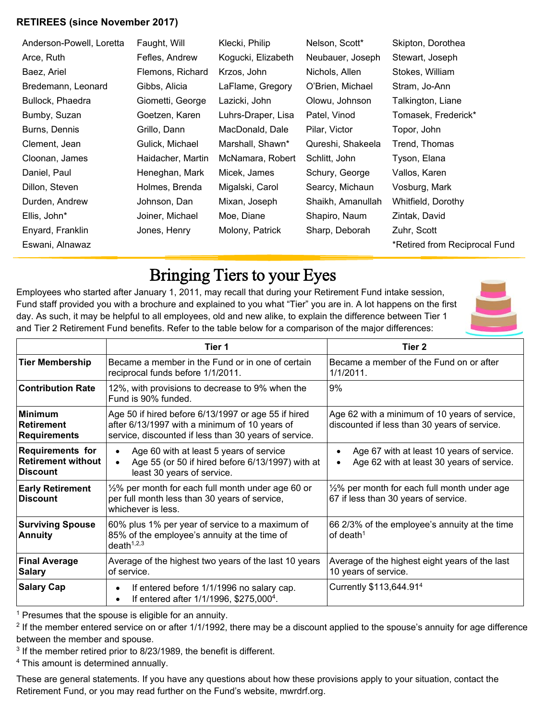# **RETIREES (since November 2017)**

| Anderson-Powell, Loretta | Faught, Will      | Klecki, Philip     | Nelson, Scott*    | Skipton, Dorothea             |
|--------------------------|-------------------|--------------------|-------------------|-------------------------------|
| Arce, Ruth               | Fefles, Andrew    | Kogucki, Elizabeth | Neubauer, Joseph  | Stewart, Joseph               |
| Baez, Ariel              | Flemons, Richard  | Krzos, John        | Nichols, Allen    | Stokes, William               |
| Bredemann, Leonard       | Gibbs, Alicia     | LaFlame, Gregory   | O'Brien, Michael  | Stram, Jo-Ann                 |
| Bullock, Phaedra         | Giometti, George  | Lazicki, John      | Olowu, Johnson    | Talkington, Liane             |
| Bumby, Suzan             | Goetzen, Karen    | Luhrs-Draper, Lisa | Patel, Vinod      | Tomasek, Frederick*           |
| Burns, Dennis            | Grillo, Dann      | MacDonald, Dale    | Pilar, Victor     | Topor, John                   |
| Clement, Jean            | Gulick, Michael   | Marshall, Shawn*   | Qureshi, Shakeela | Trend, Thomas                 |
| Cloonan, James           | Haidacher, Martin | McNamara, Robert   | Schlitt, John     | Tyson, Elana                  |
| Daniel, Paul             | Heneghan, Mark    | Micek, James       | Schury, George    | Vallos, Karen                 |
| Dillon, Steven           | Holmes, Brenda    | Migalski, Carol    | Searcy, Michaun   | Vosburg, Mark                 |
| Durden, Andrew           | Johnson, Dan      | Mixan, Joseph      | Shaikh, Amanullah | Whitfield, Dorothy            |
| Ellis, John*             | Joiner, Michael   | Moe, Diane         | Shapiro, Naum     | Zintak, David                 |
| Enyard, Franklin         | Jones, Henry      | Molony, Patrick    | Sharp, Deborah    | Zuhr, Scott                   |
| Eswani, Alnawaz          |                   |                    |                   | *Retired from Reciprocal Fund |
|                          |                   |                    |                   |                               |

# Bringing Tiers to your Eyes

Employees who started after January 1, 2011, may recall that during your Retirement Fund intake session, Fund staff provided you with a brochure and explained to you what "Tier" you are in. A lot happens on the first day. As such, it may be helpful to all employees, old and new alike, to explain the difference between Tier 1 and Tier 2 Retirement Fund benefits. Refer to the table below for a comparison of the major differences:



|                                                                         | Tier 1                                                                                                                                                        | Tier 2                                                                                                           |  |  |
|-------------------------------------------------------------------------|---------------------------------------------------------------------------------------------------------------------------------------------------------------|------------------------------------------------------------------------------------------------------------------|--|--|
| <b>Tier Membership</b>                                                  | Became a member in the Fund or in one of certain<br>reciprocal funds before 1/1/2011.                                                                         | Became a member of the Fund on or after<br>$1/1/2011$ .                                                          |  |  |
| <b>Contribution Rate</b>                                                | 12%, with provisions to decrease to 9% when the<br>Fund is 90% funded.                                                                                        | 9%                                                                                                               |  |  |
| <b>Minimum</b><br>Retirement<br><b>Requirements</b>                     | Age 50 if hired before 6/13/1997 or age 55 if hired<br>after 6/13/1997 with a minimum of 10 years of<br>service, discounted if less than 30 years of service. | Age 62 with a minimum of 10 years of service,<br>discounted if less than 30 years of service.                    |  |  |
| <b>Requirements for</b><br><b>Retirement without</b><br><b>Discount</b> | Age 60 with at least 5 years of service<br>Age 55 (or 50 if hired before 6/13/1997) with at<br>least 30 years of service.                                     | Age 67 with at least 10 years of service.<br>$\bullet$<br>Age 62 with at least 30 years of service.<br>$\bullet$ |  |  |
| <b>Early Retirement</b><br><b>Discount</b>                              | 1/2% per month for each full month under age 60 or<br>per full month less than 30 years of service,<br>whichever is less.                                     | 1/2% per month for each full month under age<br>67 if less than 30 years of service.                             |  |  |
| <b>Surviving Spouse</b><br><b>Annuity</b>                               | 60% plus 1% per year of service to a maximum of<br>85% of the employee's annuity at the time of<br>death $1,2,3$                                              | 66 2/3% of the employee's annuity at the time<br>of death $1$                                                    |  |  |
| <b>Final Average</b><br><b>Salary</b>                                   | Average of the highest two years of the last 10 years<br>of service.                                                                                          | Average of the highest eight years of the last<br>10 years of service.                                           |  |  |
| <b>Salary Cap</b>                                                       | If entered before 1/1/1996 no salary cap.<br>٠<br>If entered after 1/1/1996, \$275,000 <sup>4</sup> .<br>$\bullet$                                            | Currently \$113,644.91 <sup>4</sup>                                                                              |  |  |

<sup>1</sup> Presumes that the spouse is eligible for an annuity.

<sup>2</sup> If the member entered service on or after 1/1/1992, there may be a discount applied to the spouse's annuity for age difference between the member and spouse.

<sup>3</sup> If the member retired prior to 8/23/1989, the benefit is different.

4 This amount is determined annually.

These are general statements. If you have any questions about how these provisions apply to your situation, contact the Retirement Fund, or you may read further on the Fund's website, mwrdrf.org.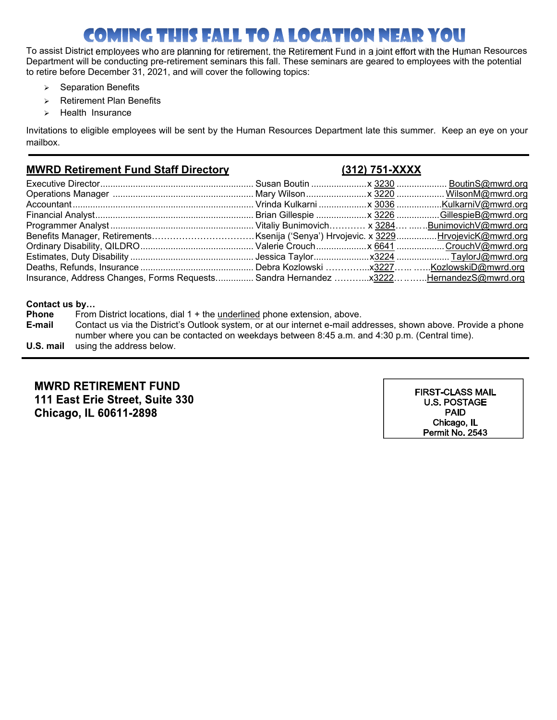# **COMING THIS FALL TO A LOCATION NEAR YOU**

To assist District employees who are planning for retirement, the Retirement Fund in a joint effort with the Human Resources Department will be conducting pre-retirement seminars this fall. These seminars are geared to employees with the potential to retire before December 31, 2021, and will cover the following topics:

- $\triangleright$  Separation Benefits
- $\triangleright$  Retirement Plan Benefits
- $\triangleright$  Health Insurance

Invitations to eligible employees will be sent by the Human Resources Department late this summer. Keep an eye on your mailbox.

# **MWRD Retirement Fund Staff Directory (312) 751-XXXX**

| Insurance, Address Changes, Forms Requests Sandra Hernandez  X3222HernandezS@mwrd.org |  |  |
|---------------------------------------------------------------------------------------|--|--|

### **Contact us by…**

| <b>Phone</b> | From District locations, dial 1 + the underlined phone extension, above.                                        |
|--------------|-----------------------------------------------------------------------------------------------------------------|
| E-mail       | Contact us via the District's Outlook system, or at our internet e-mail addresses, shown above. Provide a phone |
|              | number where you can be contacted on weekdays between 8:45 a.m. and 4:30 p.m. (Central time).                   |
| U.S. mail    | using the address below.                                                                                        |

# **MWRD RETIREMENT FUND** 111 East Erie Street, Suite 330 Chicago, IL 60611-2898

**FIRST-CLASS MAIL U.S. POSTAGE PAID** Chicago, IL Permit No. 2543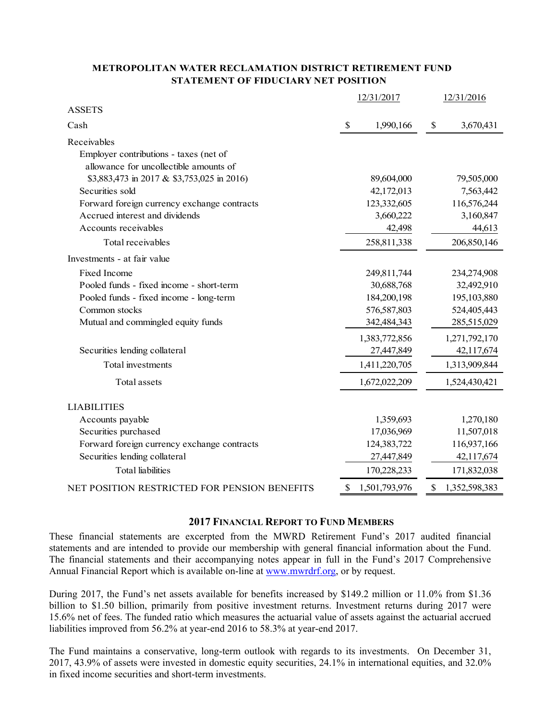### **METROPOLITAN WATER RECLAMATION DISTRICT RETIREMENT FUND STATEMENT OF FIDUCIARY NET POSITION**

|                                              | 12/31/2017                |               | 12/31/2016 |               |
|----------------------------------------------|---------------------------|---------------|------------|---------------|
| <b>ASSETS</b>                                |                           |               |            |               |
| Cash                                         | $\boldsymbol{\mathsf{S}}$ | 1,990,166     | \$         | 3,670,431     |
| Receivables                                  |                           |               |            |               |
| Employer contributions - taxes (net of       |                           |               |            |               |
| allowance for uncollectible amounts of       |                           |               |            |               |
| \$3,883,473 in 2017 & \$3,753,025 in 2016)   |                           | 89,604,000    |            | 79,505,000    |
| Securities sold                              |                           | 42,172,013    |            | 7,563,442     |
| Forward foreign currency exchange contracts  |                           | 123,332,605   |            | 116,576,244   |
| Accrued interest and dividends               |                           | 3,660,222     |            | 3,160,847     |
| Accounts receivables                         |                           | 42,498        |            | 44,613        |
| Total receivables                            |                           | 258,811,338   |            | 206,850,146   |
| Investments - at fair value                  |                           |               |            |               |
| Fixed Income                                 |                           | 249,811,744   |            | 234,274,908   |
| Pooled funds - fixed income - short-term     |                           | 30,688,768    |            | 32,492,910    |
| Pooled funds - fixed income - long-term      |                           | 184,200,198   |            | 195,103,880   |
| Common stocks                                |                           | 576,587,803   |            | 524,405,443   |
| Mutual and commingled equity funds           |                           | 342,484,343   |            | 285,515,029   |
|                                              |                           | 1,383,772,856 |            | 1,271,792,170 |
| Securities lending collateral                |                           | 27,447,849    |            | 42,117,674    |
| Total investments                            |                           | 1,411,220,705 |            | 1,313,909,844 |
| Total assets                                 |                           | 1,672,022,209 |            | 1,524,430,421 |
| <b>LIABILITIES</b>                           |                           |               |            |               |
|                                              |                           |               |            |               |
| Accounts payable                             |                           | 1,359,693     |            | 1,270,180     |
| Securities purchased                         |                           | 17,036,969    |            | 11,507,018    |
| Forward foreign currency exchange contracts  |                           | 124,383,722   |            | 116,937,166   |
| Securities lending collateral                |                           | 27,447,849    |            | 42,117,674    |
| <b>Total liabilities</b>                     |                           | 170,228,233   |            | 171,832,038   |
| NET POSITION RESTRICTED FOR PENSION BENEFITS | \$                        | 1,501,793,976 | \$         | 1,352,598,383 |

### **2017 FINANCIAL REPORT TO FUND MEMBERS**

These financial statements are excerpted from the MWRD Retirement Fund's 2017 audited financial statements and are intended to provide our membership with general financial information about the Fund. The financial statements and their accompanying notes appear in full in the Fund's 2017 Comprehensive Annual Financial Report which is available on-line at www.mwrdrf.org, or by request.

During 2017, the Fund's net assets available for benefits increased by \$149.2 million or 11.0% from \$1.36 billion to \$1.50 billion, primarily from positive investment returns. Investment returns during 2017 were 15.6% net of fees. The funded ratio which measures the actuarial value of assets against the actuarial accrued liabilities improved from 56.2% at year-end 2016 to 58.3% at year-end 2017.

The Fund maintains a conservative, long-term outlook with regards to its investments. On December 31, 2017, 43.9% of assets were invested in domestic equity securities, 24.1% in international equities, and 32.0% in fixed income securities and short-term investments.